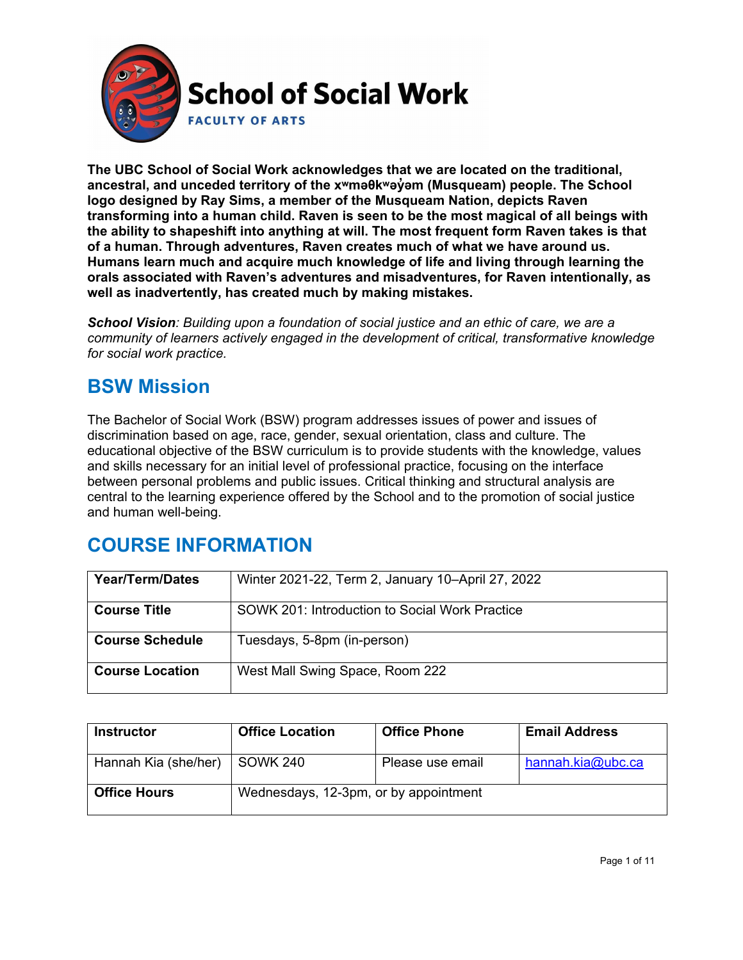

**The UBC School of Social Work acknowledges that we are located on the traditional, ancestral, and unceded territory of the [xʷməθkʷəy̓əm](http://www.musqueam.bc.ca/) (Musqueam) people. The School logo designed by Ray Sims, a member of the Musqueam Nation, depicts Raven transforming into a human child. Raven is seen to be the most magical of all beings with the ability to shapeshift into anything at will. The most frequent form Raven takes is that of a human. Through adventures, Raven creates much of what we have around us. Humans learn much and acquire much knowledge of life and living through learning the orals associated with Raven's adventures and misadventures, for Raven intentionally, as well as inadvertently, has created much by making mistakes.**

*School Vision: Building upon a foundation of social justice and an ethic of care, we are a community of learners actively engaged in the development of critical, transformative knowledge for social work practice.*

### **BSW Mission**

The Bachelor of Social Work (BSW) program addresses issues of power and issues of discrimination based on age, race, gender, sexual orientation, class and culture. The educational objective of the BSW curriculum is to provide students with the knowledge, values and skills necessary for an initial level of professional practice, focusing on the interface between personal problems and public issues. Critical thinking and structural analysis are central to the learning experience offered by the School and to the promotion of social justice and human well-being.

# **COURSE INFORMATION**

| <b>Year/Term/Dates</b> | Winter 2021-22, Term 2, January 10–April 27, 2022 |
|------------------------|---------------------------------------------------|
| <b>Course Title</b>    | SOWK 201: Introduction to Social Work Practice    |
| <b>Course Schedule</b> | Tuesdays, 5-8pm (in-person)                       |
| <b>Course Location</b> | West Mall Swing Space, Room 222                   |

| <b>Instructor</b>    | <b>Office Location</b>                | <b>Office Phone</b> | <b>Email Address</b> |
|----------------------|---------------------------------------|---------------------|----------------------|
| Hannah Kia (she/her) | SOWK 240                              | Please use email    | hannah.kia@ubc.ca    |
| <b>Office Hours</b>  | Wednesdays, 12-3pm, or by appointment |                     |                      |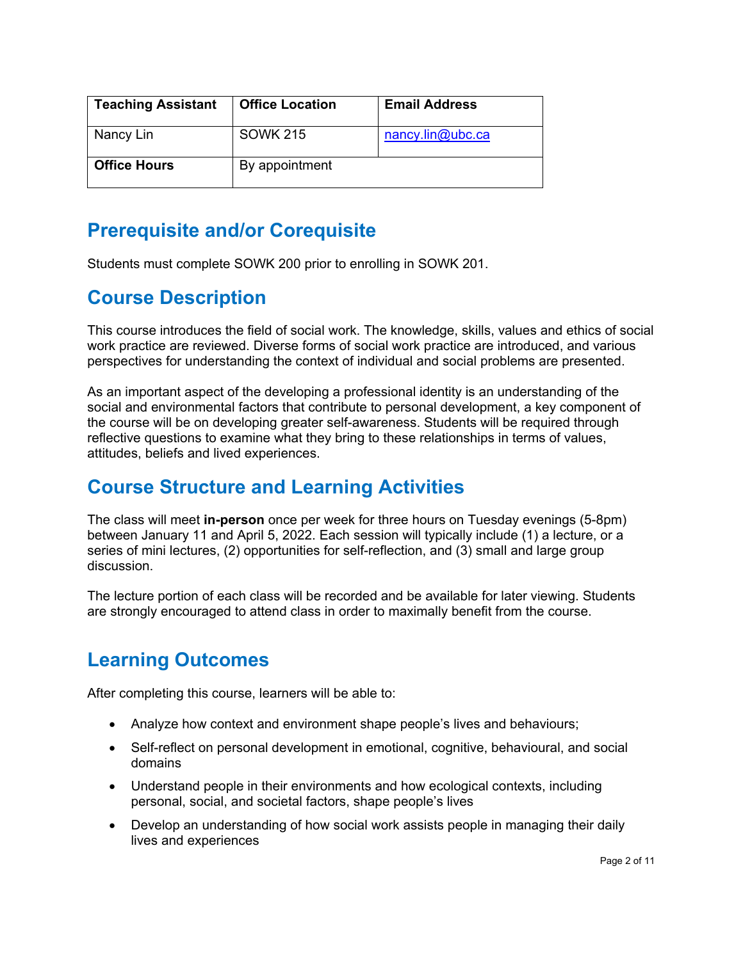| <b>Teaching Assistant</b> | <b>Office Location</b> | <b>Email Address</b> |
|---------------------------|------------------------|----------------------|
| Nancy Lin                 | <b>SOWK 215</b>        | nancy.lin@ubc.ca     |
| <b>Office Hours</b>       | By appointment         |                      |

### **Prerequisite and/or Corequisite**

Students must complete SOWK 200 prior to enrolling in SOWK 201.

# **Course Description**

This course introduces the field of social work. The knowledge, skills, values and ethics of social work practice are reviewed. Diverse forms of social work practice are introduced, and various perspectives for understanding the context of individual and social problems are presented.

As an important aspect of the developing a professional identity is an understanding of the social and environmental factors that contribute to personal development, a key component of the course will be on developing greater self-awareness. Students will be required through reflective questions to examine what they bring to these relationships in terms of values, attitudes, beliefs and lived experiences.

# **Course Structure and Learning Activities**

The class will meet **in-person** once per week for three hours on Tuesday evenings (5-8pm) between January 11 and April 5, 2022. Each session will typically include (1) a lecture, or a series of mini lectures, (2) opportunities for self-reflection, and (3) small and large group discussion.

The lecture portion of each class will be recorded and be available for later viewing. Students are strongly encouraged to attend class in order to maximally benefit from the course.

# **Learning Outcomes**

After completing this course, learners will be able to:

- Analyze how context and environment shape people's lives and behaviours;
- Self-reflect on personal development in emotional, cognitive, behavioural, and social domains
- Understand people in their environments and how ecological contexts, including personal, social, and societal factors, shape people's lives
- Develop an understanding of how social work assists people in managing their daily lives and experiences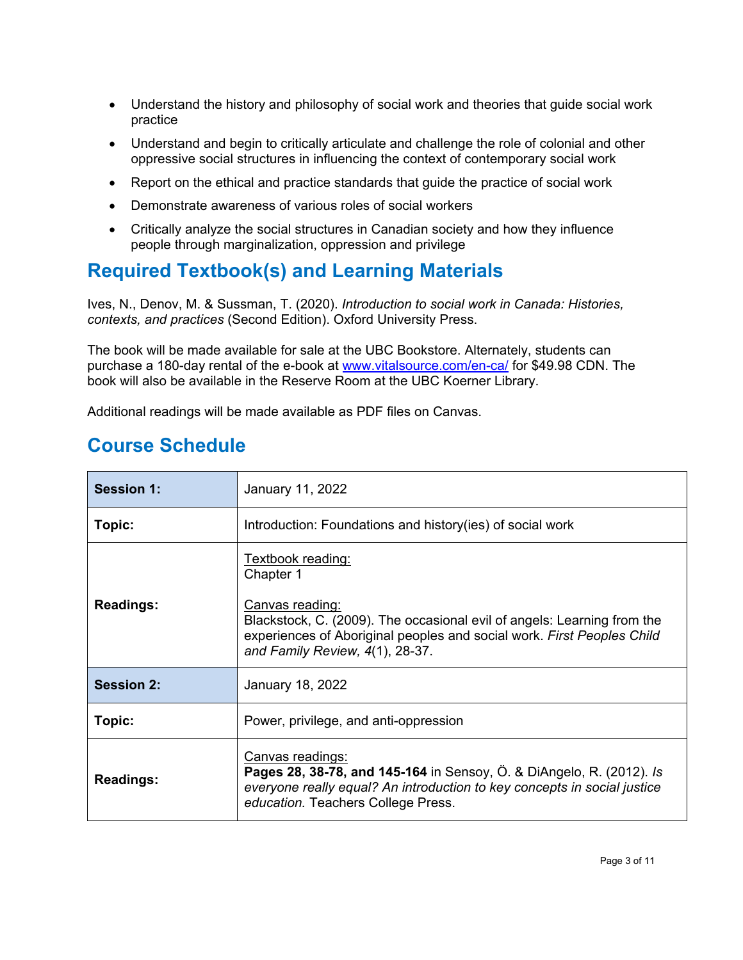- Understand the history and philosophy of social work and theories that guide social work practice
- Understand and begin to critically articulate and challenge the role of colonial and other oppressive social structures in influencing the context of contemporary social work
- Report on the ethical and practice standards that guide the practice of social work
- Demonstrate awareness of various roles of social workers
- Critically analyze the social structures in Canadian society and how they influence people through marginalization, oppression and privilege

# **Required Textbook(s) and Learning Materials**

Ives, N., Denov, M. & Sussman, T. (2020). *Introduction to social work in Canada: Histories, contexts, and practices* (Second Edition). Oxford University Press.

The book will be made available for sale at the UBC Bookstore. Alternately, students can purchase a 180-day rental of the e-book at [www.vitalsource.com/en-ca/](http://www.vitalsource.com/en-ca/) for \$49.98 CDN. The book will also be available in the Reserve Room at the UBC Koerner Library.

Additional readings will be made available as PDF files on Canvas.

### **Course Schedule**

| <b>Session 1:</b> | January 11, 2022                                                                                                                                                                                                                                 |  |
|-------------------|--------------------------------------------------------------------------------------------------------------------------------------------------------------------------------------------------------------------------------------------------|--|
| Topic:            | Introduction: Foundations and history (ies) of social work                                                                                                                                                                                       |  |
| <b>Readings:</b>  | <u>Textbook reading:</u><br>Chapter 1<br>Canvas reading:<br>Blackstock, C. (2009). The occasional evil of angels: Learning from the<br>experiences of Aboriginal peoples and social work. First Peoples Child<br>and Family Review, 4(1), 28-37. |  |
| <b>Session 2:</b> | January 18, 2022                                                                                                                                                                                                                                 |  |
| Topic:            | Power, privilege, and anti-oppression                                                                                                                                                                                                            |  |
| <b>Readings:</b>  | Canvas readings:<br>Pages 28, 38-78, and 145-164 in Sensoy, Ö. & DiAngelo, R. (2012). Is<br>everyone really equal? An introduction to key concepts in social justice<br>education. Teachers College Press.                                       |  |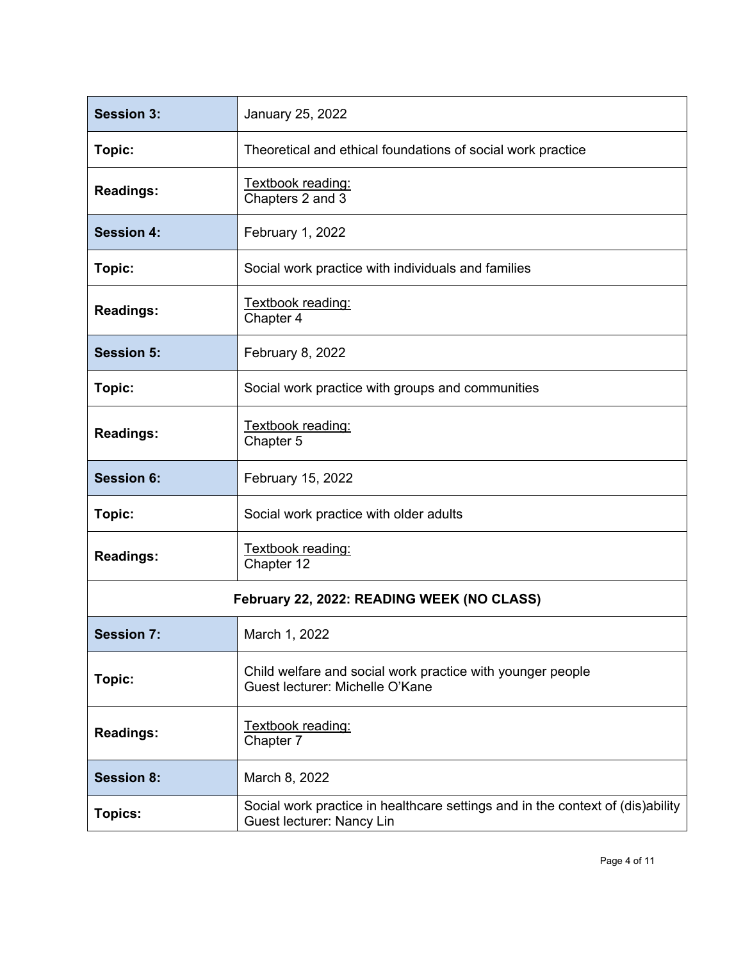| <b>Session 3:</b> | January 25, 2022                                                                                            |
|-------------------|-------------------------------------------------------------------------------------------------------------|
| Topic:            | Theoretical and ethical foundations of social work practice                                                 |
| <b>Readings:</b>  | Textbook reading:<br>Chapters 2 and 3                                                                       |
| <b>Session 4:</b> | February 1, 2022                                                                                            |
| Topic:            | Social work practice with individuals and families                                                          |
| <b>Readings:</b>  | Textbook reading:<br>Chapter 4                                                                              |
| <b>Session 5:</b> | February 8, 2022                                                                                            |
| Topic:            | Social work practice with groups and communities                                                            |
| <b>Readings:</b>  | Textbook reading:<br>Chapter 5                                                                              |
| <b>Session 6:</b> | February 15, 2022                                                                                           |
| Topic:            | Social work practice with older adults                                                                      |
| <b>Readings:</b>  | Textbook reading:<br>Chapter 12                                                                             |
|                   | February 22, 2022: READING WEEK (NO CLASS)                                                                  |
| <b>Session 7:</b> | March 1, 2022                                                                                               |
| Topic:            | Child welfare and social work practice with younger people<br>Guest lecturer: Michelle O'Kane               |
| <b>Readings:</b>  | Textbook reading:<br>Chapter 7                                                                              |
| <b>Session 8:</b> | March 8, 2022                                                                                               |
| <b>Topics:</b>    | Social work practice in healthcare settings and in the context of (dis)ability<br>Guest lecturer: Nancy Lin |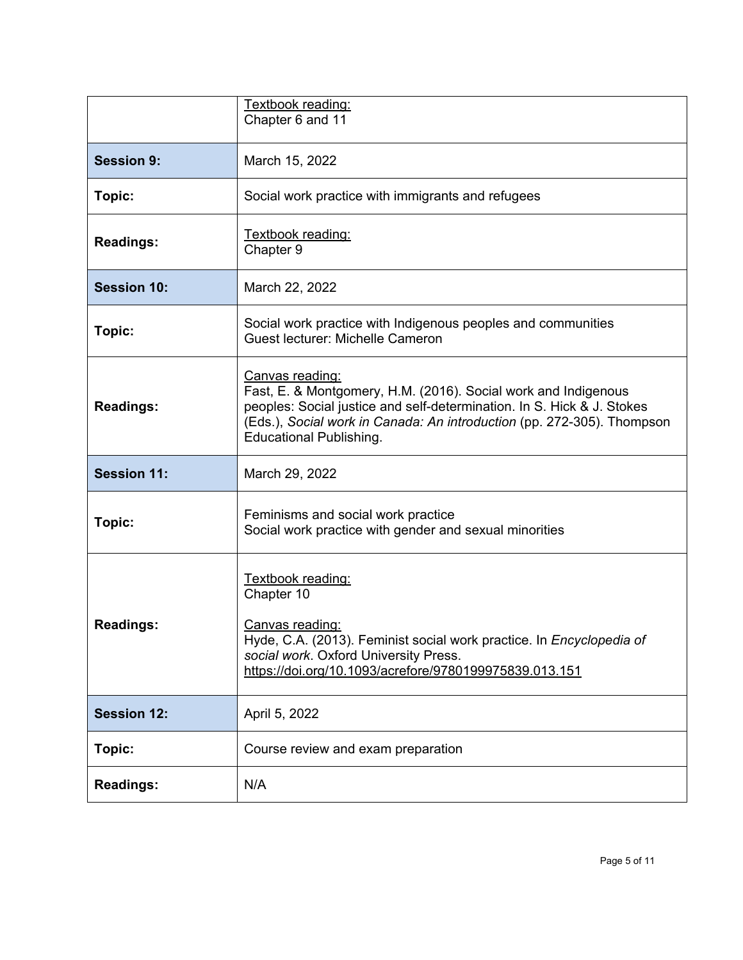|                    | Textbook reading:<br>Chapter 6 and 11                                                                                                                                                                                                                                          |
|--------------------|--------------------------------------------------------------------------------------------------------------------------------------------------------------------------------------------------------------------------------------------------------------------------------|
| <b>Session 9:</b>  | March 15, 2022                                                                                                                                                                                                                                                                 |
| Topic:             | Social work practice with immigrants and refugees                                                                                                                                                                                                                              |
| <b>Readings:</b>   | Textbook reading:<br>Chapter 9                                                                                                                                                                                                                                                 |
| <b>Session 10:</b> | March 22, 2022                                                                                                                                                                                                                                                                 |
| Topic:             | Social work practice with Indigenous peoples and communities<br><b>Guest lecturer: Michelle Cameron</b>                                                                                                                                                                        |
| <b>Readings:</b>   | <b>Canvas reading:</b><br>Fast, E. & Montgomery, H.M. (2016). Social work and Indigenous<br>peoples: Social justice and self-determination. In S. Hick & J. Stokes<br>(Eds.), Social work in Canada: An introduction (pp. 272-305). Thompson<br><b>Educational Publishing.</b> |
| <b>Session 11:</b> | March 29, 2022                                                                                                                                                                                                                                                                 |
| Topic:             | Feminisms and social work practice<br>Social work practice with gender and sexual minorities                                                                                                                                                                                   |
| <b>Readings:</b>   | Textbook reading:<br>Chapter 10<br><u>Canvas reading:</u><br>Hyde, C.A. (2013). Feminist social work practice. In Encyclopedia of<br>social work. Oxford University Press.<br>https://doi.org/10.1093/acrefore/9780199975839.013.151                                           |
| <b>Session 12:</b> | April 5, 2022                                                                                                                                                                                                                                                                  |
| Topic:             | Course review and exam preparation                                                                                                                                                                                                                                             |
| <b>Readings:</b>   | N/A                                                                                                                                                                                                                                                                            |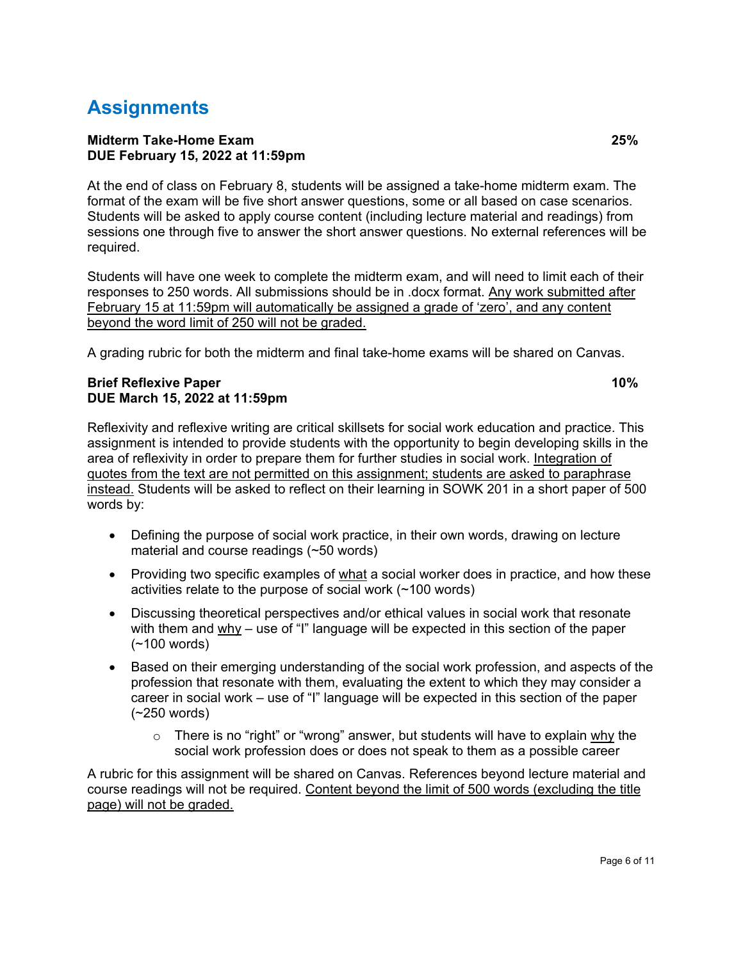# **Assignments**

#### **Midterm Take-Home Exam 25% DUE February 15, 2022 at 11:59pm**

At the end of class on February 8, students will be assigned a take-home midterm exam. The format of the exam will be five short answer questions, some or all based on case scenarios. Students will be asked to apply course content (including lecture material and readings) from sessions one through five to answer the short answer questions. No external references will be required.

Students will have one week to complete the midterm exam, and will need to limit each of their responses to 250 words. All submissions should be in .docx format. Any work submitted after February 15 at 11:59pm will automatically be assigned a grade of 'zero', and any content beyond the word limit of 250 will not be graded.

A grading rubric for both the midterm and final take-home exams will be shared on Canvas.

#### **Brief Reflexive Paper 10% DUE March 15, 2022 at 11:59pm**

Reflexivity and reflexive writing are critical skillsets for social work education and practice. This assignment is intended to provide students with the opportunity to begin developing skills in the area of reflexivity in order to prepare them for further studies in social work. Integration of quotes from the text are not permitted on this assignment; students are asked to paraphrase instead. Students will be asked to reflect on their learning in SOWK 201 in a short paper of 500 words by:

- Defining the purpose of social work practice, in their own words, drawing on lecture material and course readings (~50 words)
- Providing two specific examples of what a social worker does in practice, and how these activities relate to the purpose of social work (~100 words)
- Discussing theoretical perspectives and/or ethical values in social work that resonate with them and why – use of "I" language will be expected in this section of the paper (~100 words)
- Based on their emerging understanding of the social work profession, and aspects of the profession that resonate with them, evaluating the extent to which they may consider a career in social work – use of "I" language will be expected in this section of the paper (~250 words)
	- $\circ$  There is no "right" or "wrong" answer, but students will have to explain why the social work profession does or does not speak to them as a possible career

A rubric for this assignment will be shared on Canvas. References beyond lecture material and course readings will not be required. Content beyond the limit of 500 words (excluding the title page) will not be graded.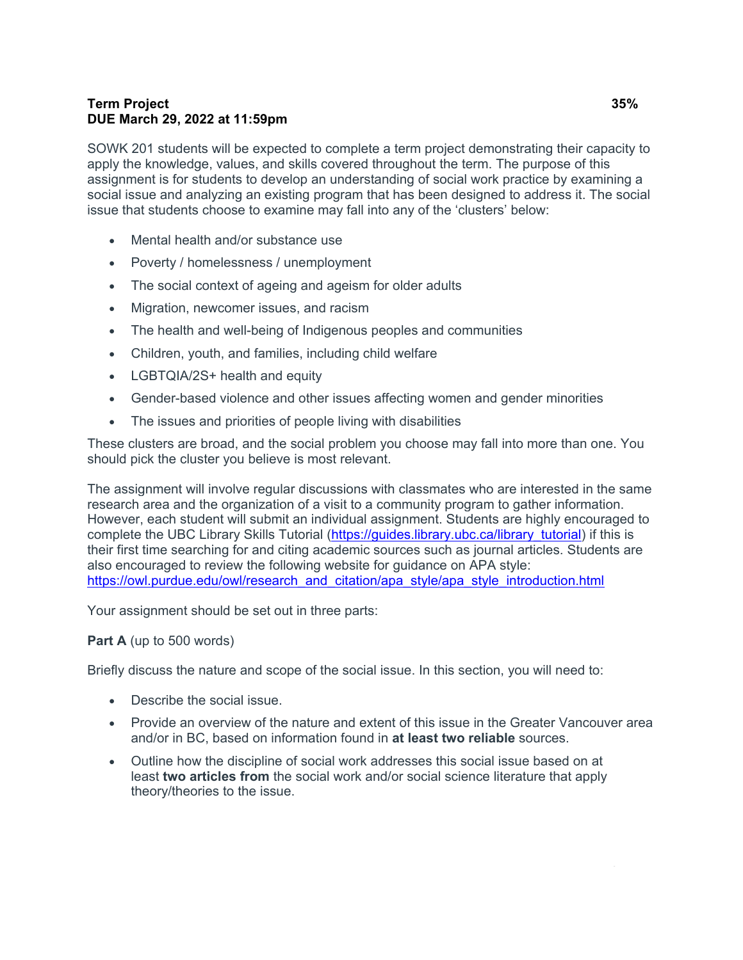### **Term Project 35% DUE March 29, 2022 at 11:59pm**

SOWK 201 students will be expected to complete a term project demonstrating their capacity to apply the knowledge, values, and skills covered throughout the term. The purpose of this assignment is for students to develop an understanding of social work practice by examining a social issue and analyzing an existing program that has been designed to address it. The social issue that students choose to examine may fall into any of the 'clusters' below:

- Mental health and/or substance use
- Poverty / homelessness / unemployment
- The social context of ageing and ageism for older adults
- Migration, newcomer issues, and racism
- The health and well-being of Indigenous peoples and communities
- Children, youth, and families, including child welfare
- LGBTQIA/2S+ health and equity
- Gender-based violence and other issues affecting women and gender minorities
- The issues and priorities of people living with disabilities

These clusters are broad, and the social problem you choose may fall into more than one. You should pick the cluster you believe is most relevant.

The assignment will involve regular discussions with classmates who are interested in the same research area and the organization of a visit to a community program to gather information. However, each student will submit an individual assignment. Students are highly encouraged to complete the UBC Library Skills Tutorial [\(https://guides.library.ubc.ca/library\\_tutorial\)](https://guides.library.ubc.ca/library_tutorial) if this is their first time searching for and citing academic sources such as journal articles. Students are also encouraged to review the following website for guidance on APA style: [https://owl.purdue.edu/owl/research\\_and\\_citation/apa\\_style/apa\\_style\\_introduction.html](https://owl.purdue.edu/owl/research_and_citation/apa_style/apa_style_introduction.html)

Your assignment should be set out in three parts:

#### **Part A** (up to 500 words)

Briefly discuss the nature and scope of the social issue. In this section, you will need to:

- Describe the social issue.
- Provide an overview of the nature and extent of this issue in the Greater Vancouver area and/or in BC, based on information found in **at least two reliable** sources.
- Outline how the discipline of social work addresses this social issue based on at least **two articles from** the social work and/or social science literature that apply theory/theories to the issue.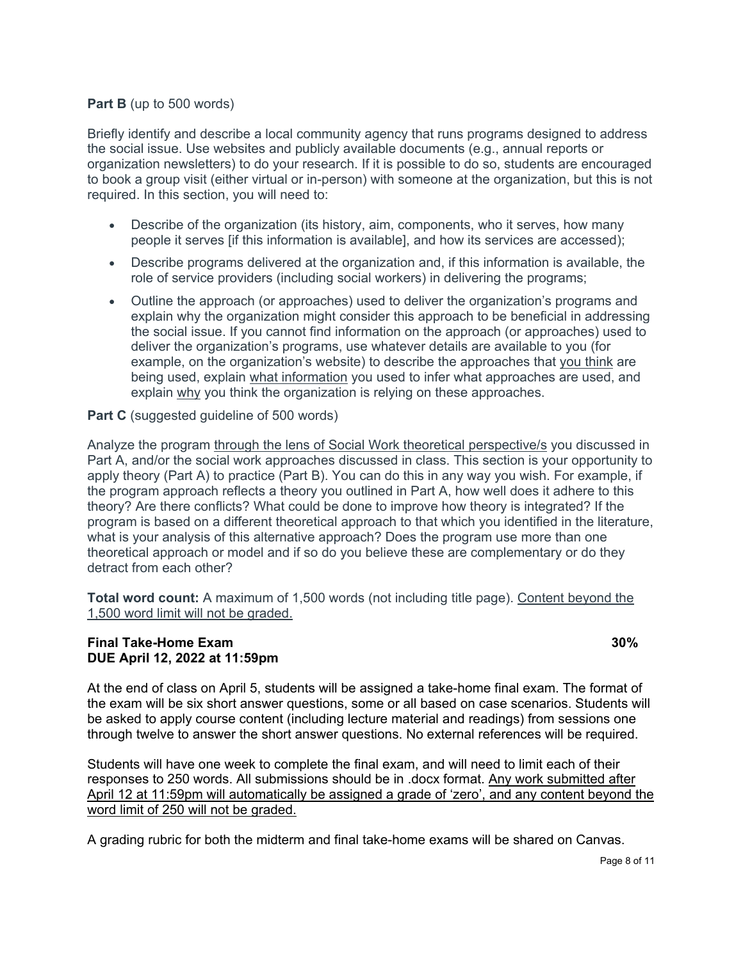#### **Part B** (up to 500 words)

Briefly identify and describe a local community agency that runs programs designed to address the social issue. Use websites and publicly available documents (e.g., annual reports or organization newsletters) to do your research. If it is possible to do so, students are encouraged to book a group visit (either virtual or in-person) with someone at the organization, but this is not required. In this section, you will need to:

- Describe of the organization (its history, aim, components, who it serves, how many people it serves [if this information is available], and how its services are accessed);
- Describe programs delivered at the organization and, if this information is available, the role of service providers (including social workers) in delivering the programs;
- Outline the approach (or approaches) used to deliver the organization's programs and explain why the organization might consider this approach to be beneficial in addressing the social issue. If you cannot find information on the approach (or approaches) used to deliver the organization's programs, use whatever details are available to you (for example, on the organization's website) to describe the approaches that you think are being used, explain what information you used to infer what approaches are used, and explain why you think the organization is relying on these approaches.

#### **Part C** (suggested guideline of 500 words)

Analyze the program through the lens of Social Work theoretical perspective/s you discussed in Part A, and/or the social work approaches discussed in class. This section is your opportunity to apply theory (Part A) to practice (Part B). You can do this in any way you wish. For example, if the program approach reflects a theory you outlined in Part A, how well does it adhere to this theory? Are there conflicts? What could be done to improve how theory is integrated? If the program is based on a different theoretical approach to that which you identified in the literature, what is your analysis of this alternative approach? Does the program use more than one theoretical approach or model and if so do you believe these are complementary or do they detract from each other?

**Total word count:** A maximum of 1,500 words (not including title page). Content beyond the 1,500 word limit will not be graded.

#### **Final Take-Home Exam 30% DUE April 12, 2022 at 11:59pm**

At the end of class on April 5, students will be assigned a take-home final exam. The format of the exam will be six short answer questions, some or all based on case scenarios. Students will be asked to apply course content (including lecture material and readings) from sessions one through twelve to answer the short answer questions. No external references will be required.

Students will have one week to complete the final exam, and will need to limit each of their responses to 250 words. All submissions should be in .docx format. Any work submitted after April 12 at 11:59pm will automatically be assigned a grade of 'zero', and any content beyond the word limit of 250 will not be graded.

A grading rubric for both the midterm and final take-home exams will be shared on Canvas.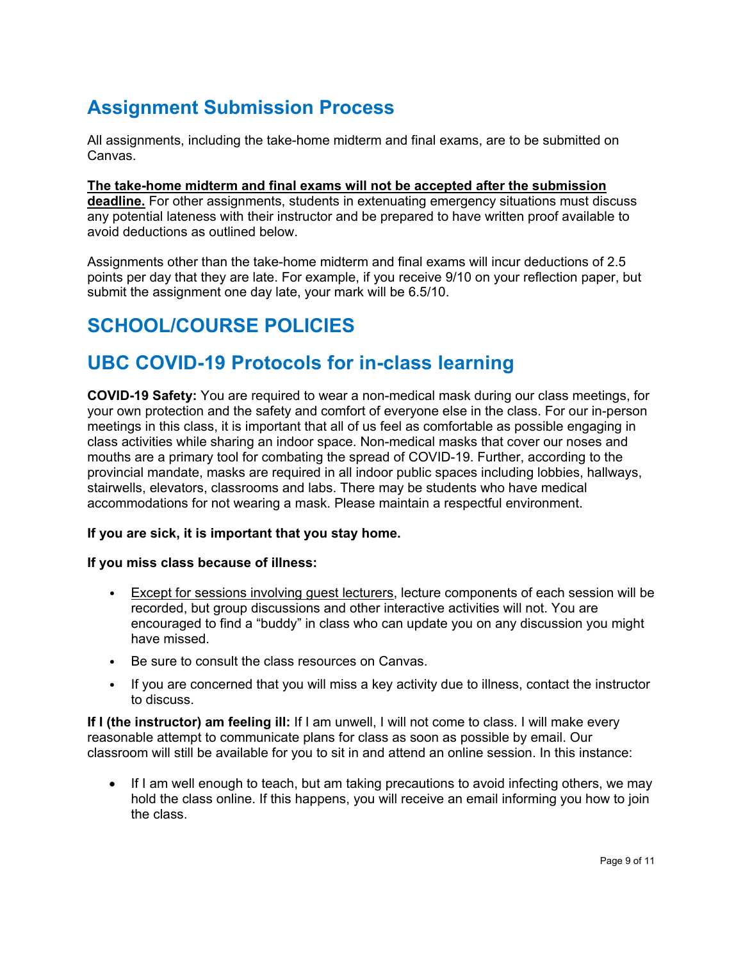# **Assignment Submission Process**

All assignments, including the take-home midterm and final exams, are to be submitted on Canvas.

**The take-home midterm and final exams will not be accepted after the submission deadline.** For other assignments, students in extenuating emergency situations must discuss any potential lateness with their instructor and be prepared to have written proof available to avoid deductions as outlined below.

Assignments other than the take-home midterm and final exams will incur deductions of 2.5 points per day that they are late. For example, if you receive 9/10 on your reflection paper, but submit the assignment one day late, your mark will be 6.5/10.

# **SCHOOL/COURSE POLICIES**

### **UBC COVID-19 Protocols for in-class learning**

**COVID-19 Safety:** You are required to wear a non-medical mask during our class meetings, for your own protection and the safety and comfort of everyone else in the class. For our in-person meetings in this class, it is important that all of us feel as comfortable as possible engaging in class activities while sharing an indoor space. Non-medical masks that cover our noses and mouths are a primary tool for combating the spread of COVID-19. Further, according to the provincial mandate, masks are required in all indoor public spaces including lobbies, hallways, stairwells, elevators, classrooms and labs. There may be students who have medical accommodations for not wearing a mask. Please maintain a respectful environment.

#### **If you are sick, it is important that you stay home.**

#### **If you miss class because of illness:**

- Except for sessions involving guest lecturers, lecture components of each session will be recorded, but group discussions and other interactive activities will not. You are encouraged to find a "buddy" in class who can update you on any discussion you might have missed.
- Be sure to consult the class resources on Canvas.
- If you are concerned that you will miss a key activity due to illness, contact the instructor to discuss.

**If I (the instructor) am feeling ill:** If I am unwell, I will not come to class. I will make every reasonable attempt to communicate plans for class as soon as possible by email. Our classroom will still be available for you to sit in and attend an online session. In this instance:

• If I am well enough to teach, but am taking precautions to avoid infecting others, we may hold the class online. If this happens, you will receive an email informing you how to join the class.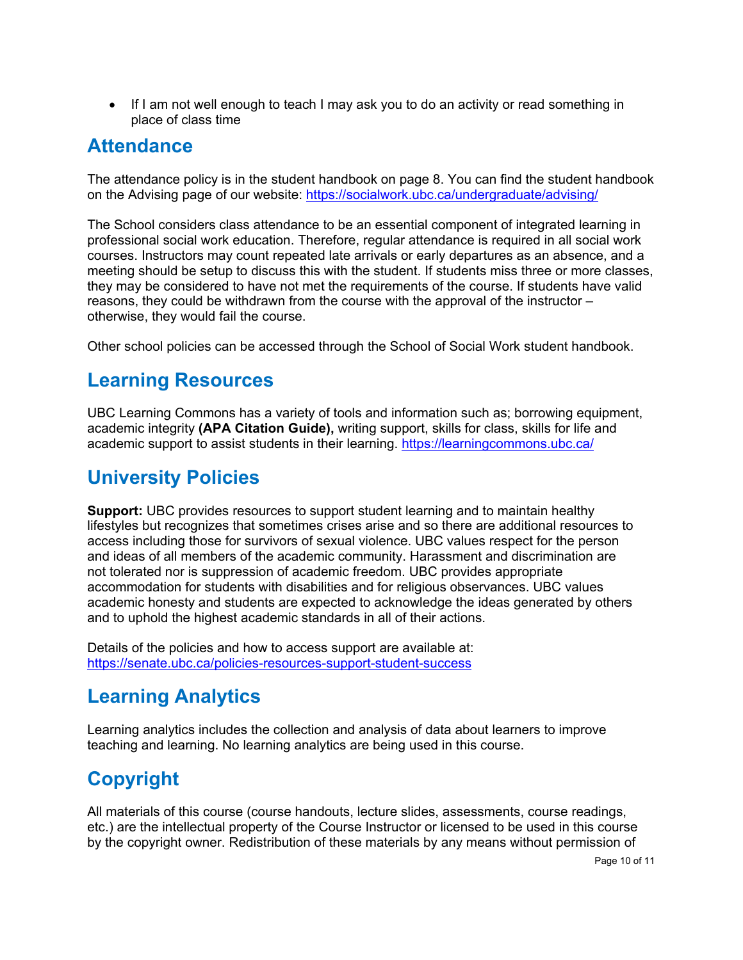• If I am not well enough to teach I may ask you to do an activity or read something in place of class time

### **Attendance**

The attendance policy is in the student handbook on page 8. You can find the student handbook on the Advising page of our website:<https://socialwork.ubc.ca/undergraduate/advising/>

The School considers class attendance to be an essential component of integrated learning in professional social work education. Therefore, regular attendance is required in all social work courses. Instructors may count repeated late arrivals or early departures as an absence, and a meeting should be setup to discuss this with the student. If students miss three or more classes, they may be considered to have not met the requirements of the course. If students have valid reasons, they could be withdrawn from the course with the approval of the instructor – otherwise, they would fail the course.

Other school policies can be accessed through the School of Social Work student handbook.

### **Learning Resources**

UBC Learning Commons has a variety of tools and information such as; borrowing equipment, academic integrity **(APA Citation Guide),** writing support, skills for class, skills for life and academic support to assist students in their learning.<https://learningcommons.ubc.ca/>

# **University Policies**

**Support:** UBC provides resources to support student learning and to maintain healthy lifestyles but recognizes that sometimes crises arise and so there are additional resources to access including those for survivors of sexual violence. UBC values respect for the person and ideas of all members of the academic community. Harassment and discrimination are not tolerated nor is suppression of academic freedom. UBC provides appropriate accommodation for students with disabilities and for religious observances. UBC values academic honesty and students are expected to acknowledge the ideas generated by others and to uphold the highest academic standards in all of their actions.

Details of the policies and how to access support are available at: <https://senate.ubc.ca/policies-resources-support-student-success>

# **Learning Analytics**

Learning analytics includes the collection and analysis of data about learners to improve teaching and learning. No learning analytics are being used in this course.

# **Copyright**

All materials of this course (course handouts, lecture slides, assessments, course readings, etc.) are the intellectual property of the Course Instructor or licensed to be used in this course by the copyright owner. Redistribution of these materials by any means without permission of